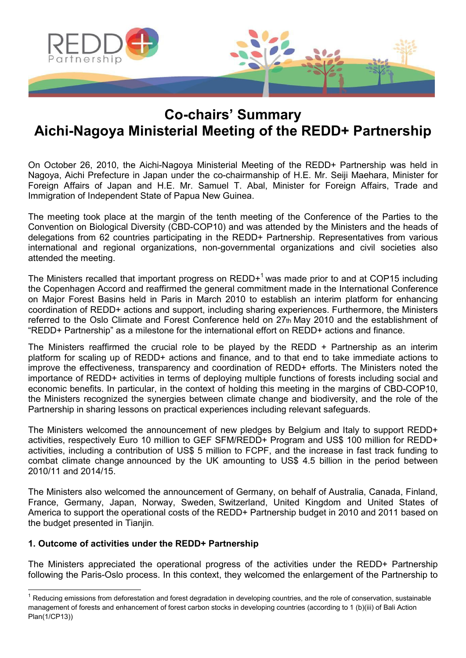

# **Co-chairs' Summary Aichi-Nagoya Ministerial Meeting of the REDD+ Partnership**

On October 26, 2010, the Aichi-Nagoya Ministerial Meeting of the REDD+ Partnership was held in Nagoya, Aichi Prefecture in Japan under the co-chairmanship of H.E. Mr. Seiji Maehara, Minister for Foreign Affairs of Japan and H.E. Mr. Samuel T. Abal, Minister for Foreign Affairs, Trade and Immigration of Independent State of Papua New Guinea.

The meeting took place at the margin of the tenth meeting of the Conference of the Parties to the Convention on Biological Diversity (CBD-COP10) and was attended by the Ministers and the heads of delegations from 62 countries participating in the REDD+ Partnership. Representatives from various international and regional organizations, non-governmental organizations and civil societies also attended the meeting.

The Ministers recalled that important progress on  $REDD+1$  was made prior to and at COP15 including the Copenhagen Accord and reaffirmed the general commitment made in the International Conference on Major Forest Basins held in Paris in March 2010 to establish an interim platform for enhancing coordination of REDD+ actions and support, including sharing experiences. Furthermore, the Ministers referred to the Oslo Climate and Forest Conference held on 27th May 2010 and the establishment of "REDD+ Partnership" as a milestone for the international effort on REDD+ actions and finance.

The Ministers reaffirmed the crucial role to be played by the REDD  $+$  Partnership as an interim platform for scaling up of REDD+ actions and finance, and to that end to take immediate actions to improve the effectiveness, transparency and coordination of REDD+ efforts. The Ministers noted the importance of REDD+ activities in terms of deploying multiple functions of forests including social and economic benefits. In particular, in the context of holding this meeting in the margins of CBD-COP10, the Ministers recognized the synergies between climate change and biodiversity, and the role of the Partnership in sharing lessons on practical experiences including relevant safeguards.

The Ministers welcomed the announcement of new pledges by Belgium and Italy to support REDD+ activities, respectively Euro 10 million to GEF SFM/REDD+ Program and US\$ 100 million for REDD+ activities, including a contribution of US\$ 5 million to FCPF, and the increase in fast track funding to combat climate change announced by the UK amounting to US\$ 4.5 billion in the period between 2010/11 and 2014/15.

The Ministers also welcomed the announcement of Germany, on behalf of Australia, Canada, Finland, France, Germany, Japan, Norway, Sweden, Switzerland, United Kingdom and United States of America to support the operational costs of the REDD+ Partnership budget in 2010 and 2011 based on the budget presented in Tianjin.

# **1. Outcome of activities under the REDD+ Partnership**

<u>.</u>

The Ministers appreciated the operational progress of the activities under the REDD+ Partnership following the Paris-Oslo process. In this context, they welcomed the enlargement of the Partnership to

<sup>&</sup>lt;sup>1</sup> Reducing emissions from deforestation and forest degradation in developing countries, and the role of conservation, sustainable management of forests and enhancement of forest carbon stocks in developing countries (according to 1 (b)(iii) of Bali Action Plan(1/CP13))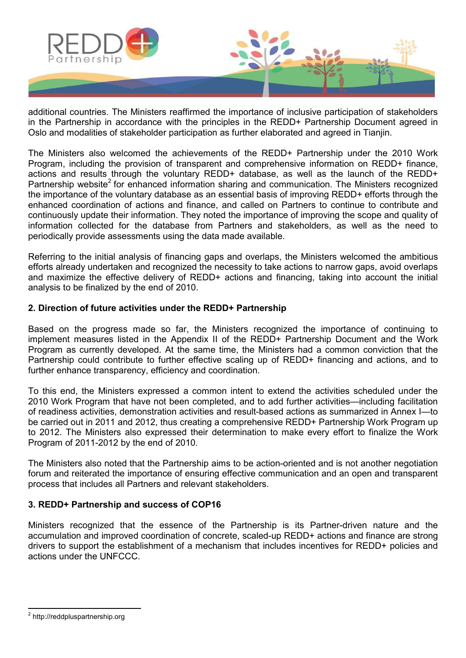

additional countries. The Ministers reaffirmed the importance of inclusive participation of stakeholders in the Partnership in accordance with the principles in the REDD+ Partnership Document agreed in Oslo and modalities of stakeholder participation as further elaborated and agreed in Tianjin.

The Ministers also welcomed the achievements of the REDD+ Partnership under the 2010 Work Program, including the provision of transparent and comprehensive information on REDD+ finance, actions and results through the voluntary REDD+ database, as well as the launch of the REDD+ Partnership website<sup>2</sup> for enhanced information sharing and communication. The Ministers recognized the importance of the voluntary database as an essential basis of improving REDD+ efforts through the enhanced coordination of actions and finance, and called on Partners to continue to contribute and continuously update their information. They noted the importance of improving the scope and quality of information collected for the database from Partners and stakeholders, as well as the need to periodically provide assessments using the data made available.

Referring to the initial analysis of financing gaps and overlaps, the Ministers welcomed the ambitious efforts already undertaken and recognized the necessity to take actions to narrow gaps, avoid overlaps and maximize the effective delivery of REDD+ actions and financing, taking into account the initial analysis to be finalized by the end of 2010.

## **2. Direction of future activities under the REDD+ Partnership**

Based on the progress made so far, the Ministers recognized the importance of continuing to implement measures listed in the Appendix II of the REDD+ Partnership Document and the Work Program as currently developed. At the same time, the Ministers had a common conviction that the Partnership could contribute to further effective scaling up of REDD+ financing and actions, and to further enhance transparency, efficiency and coordination.

To this end, the Ministers expressed a common intent to extend the activities scheduled under the 2010 Work Program that have not been completed, and to add further activities—including facilitation of readiness activities, demonstration activities and result-based actions as summarized in Annex I—to be carried out in 2011 and 2012, thus creating a comprehensive REDD+ Partnership Work Program up to 2012. The Ministers also expressed their determination to make every effort to finalize the Work Program of 2011-2012 by the end of 2010.

The Ministers also noted that the Partnership aims to be action-oriented and is not another negotiation forum and reiterated the importance of ensuring effective communication and an open and transparent process that includes all Partners and relevant stakeholders.

# **3. REDD+ Partnership and success of COP16**

Ministers recognized that the essence of the Partnership is its Partner-driven nature and the accumulation and improved coordination of concrete, scaled-up REDD+ actions and finance are strong drivers to support the establishment of a mechanism that includes incentives for REDD+ policies and actions under the UNFCCC.

 2 http://reddpluspartnership.org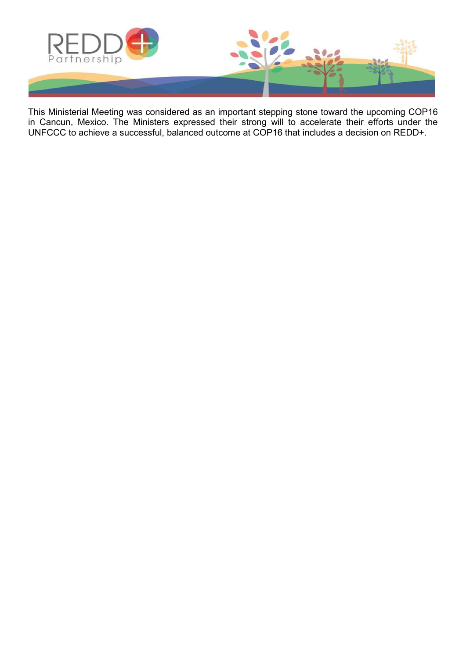

This Ministerial Meeting was considered as an important stepping stone toward the upcoming COP16 in Cancun, Mexico. The Ministers expressed their strong will to accelerate their efforts under the UNFCCC to achieve a successful, balanced outcome at COP16 that includes a decision on REDD+.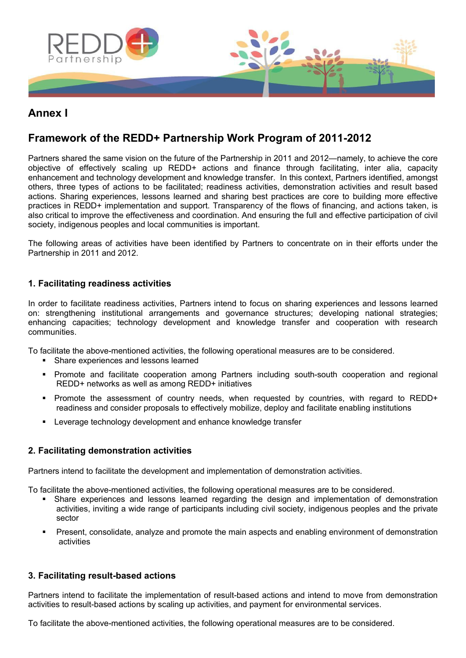

# **Annex I**

# **Framework of the REDD+ Partnership Work Program of 2011-2012**

Partners shared the same vision on the future of the Partnership in 2011 and 2012—namely, to achieve the core objective of effectively scaling up REDD+ actions and finance through facilitating, inter alia, capacity enhancement and technology development and knowledge transfer. In this context, Partners identified, amongst others, three types of actions to be facilitated; readiness activities, demonstration activities and result based actions. Sharing experiences, lessons learned and sharing best practices are core to building more effective practices in REDD+ implementation and support. Transparency of the flows of financing, and actions taken, is also critical to improve the effectiveness and coordination. And ensuring the full and effective participation of civil society, indigenous peoples and local communities is important.

The following areas of activities have been identified by Partners to concentrate on in their efforts under the Partnership in 2011 and 2012.

#### **1. Facilitating readiness activities**

In order to facilitate readiness activities, Partners intend to focus on sharing experiences and lessons learned on: strengthening institutional arrangements and governance structures; developing national strategies; enhancing capacities; technology development and knowledge transfer and cooperation with research communities.

To facilitate the above-mentioned activities, the following operational measures are to be considered.

- Share experiences and lessons learned
- Promote and facilitate cooperation among Partners including south-south cooperation and regional REDD+ networks as well as among REDD+ initiatives
- **Promote the assessment of country needs, when requested by countries, with regard to REDD+** readiness and consider proposals to effectively mobilize, deploy and facilitate enabling institutions
- **EXECTE 2018** Leverage technology development and enhance knowledge transfer

#### **2. Facilitating demonstration activities**

Partners intend to facilitate the development and implementation of demonstration activities.

To facilitate the above-mentioned activities, the following operational measures are to be considered.

- Share experiences and lessons learned regarding the design and implementation of demonstration activities, inviting a wide range of participants including civil society, indigenous peoples and the private sector
- Present, consolidate, analyze and promote the main aspects and enabling environment of demonstration activities

#### **3. Facilitating result-based actions**

Partners intend to facilitate the implementation of result-based actions and intend to move from demonstration activities to result-based actions by scaling up activities, and payment for environmental services.

To facilitate the above-mentioned activities, the following operational measures are to be considered.